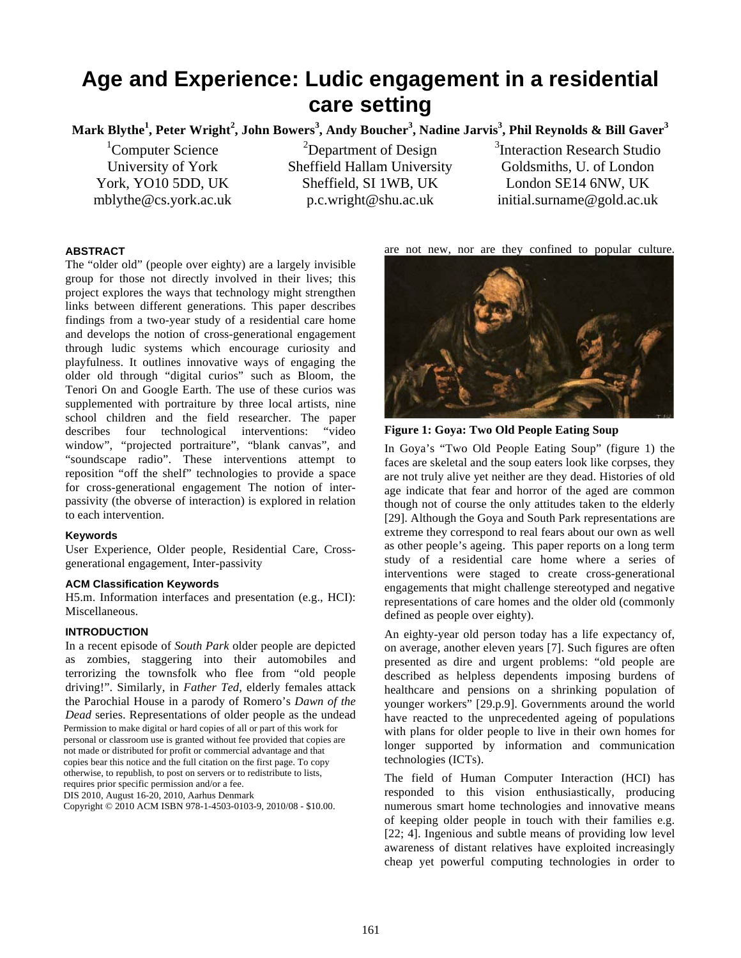# **Age and Experience: Ludic engagement in a residential care setting**

**Mark Blythe<sup>1</sup> , Peter Wright<sup>2</sup> , John Bowers<sup>3</sup> , Andy Boucher<sup>3</sup> , Nadine Jarvis<sup>3</sup> , Phil Reynolds & Bill Gaver<sup>3</sup>**

<sup>1</sup>Computer Science University of York York, YO10 5DD, UK mblythe@cs.york.ac.uk

<sup>2</sup>Department of Design Sheffield Hallam University Sheffield, SI 1WB, UK p.c.wright@shu.ac.uk

<sup>3</sup>Interaction Research Studio Goldsmiths, U. of London London SE14 6NW, UK initial.surname@gold.ac.uk

# **ABSTRACT**

The "older old" (people over eighty) are a largely invisible group for those not directly involved in their lives; this project explores the ways that technology might strengthen links between different generations. This paper describes findings from a two-year study of a residential care home and develops the notion of cross-generational engagement through ludic systems which encourage curiosity and playfulness. It outlines innovative ways of engaging the older old through "digital curios" such as Bloom, the Tenori On and Google Earth. The use of these curios was supplemented with portraiture by three local artists, nine school children and the field researcher. The paper describes four technological interventions: "video window", "projected portraiture", "blank canvas", and "soundscape radio". These interventions attempt to reposition "off the shelf" technologies to provide a space for cross-generational engagement The notion of interpassivity (the obverse of interaction) is explored in relation to each intervention.

## **Keywords**

User Experience, Older people, Residential Care, Crossgenerational engagement, Inter-passivity

## **ACM Classification Keywords**

H5.m. Information interfaces and presentation (e.g., HCI): Miscellaneous.

## **INTRODUCTION**

In a recent episode of *South Park* older people are depicted as zombies, staggering into their automobiles and terrorizing the townsfolk who flee from "old people driving!". Similarly, in *Father Ted,* elderly females attack the Parochial House in a parody of Romero's *Dawn of the Dead* series. Representations of older people as the undead Permission to make digital or hard copies of all or part of this work for personal or classroom use is granted without fee provided that copies are not made or distributed for profit or commercial advantage and that copies bear this notice and the full citation on the first page. To copy otherwise, to republish, to post on servers or to redistribute to lists, requires prior specific permission and/or a fee. DIS 2010, August 16-20, 2010, Aarhus Denmark

Copyright © 2010 ACM ISBN 978-1-4503-0103-9, 2010/08 - \$10.00.

are not new, nor are they confined to popular culture.



**Figure 1: Goya: Two Old People Eating Soup**

In Goya's "Two Old People Eating Soup" (figure 1) the faces are skeletal and the soup eaters look like corpses, they are not truly alive yet neither are they dead. Histories of old age indicate that fear and horror of the aged are common though not of course the only attitudes taken to the elderly [29]. Although the Goya and South Park representations are extreme they correspond to real fears about our own as well as other people's ageing. This paper reports on a long term study of a residential care home where a series of interventions were staged to create cross-generational engagements that might challenge stereotyped and negative representations of care homes and the older old (commonly defined as people over eighty).

An eighty-year old person today has a life expectancy of, on average, another eleven years [7]. Such figures are often presented as dire and urgent problems: "old people are described as helpless dependents imposing burdens of healthcare and pensions on a shrinking population of younger workers" [29.p.9]. Governments around the world have reacted to the unprecedented ageing of populations with plans for older people to live in their own homes for longer supported by information and communication technologies (ICTs).

The field of Human Computer Interaction (HCI) has responded to this vision enthusiastically, producing numerous smart home technologies and innovative means of keeping older people in touch with their families e.g. [22; 4]. Ingenious and subtle means of providing low level awareness of distant relatives have exploited increasingly cheap yet powerful computing technologies in order to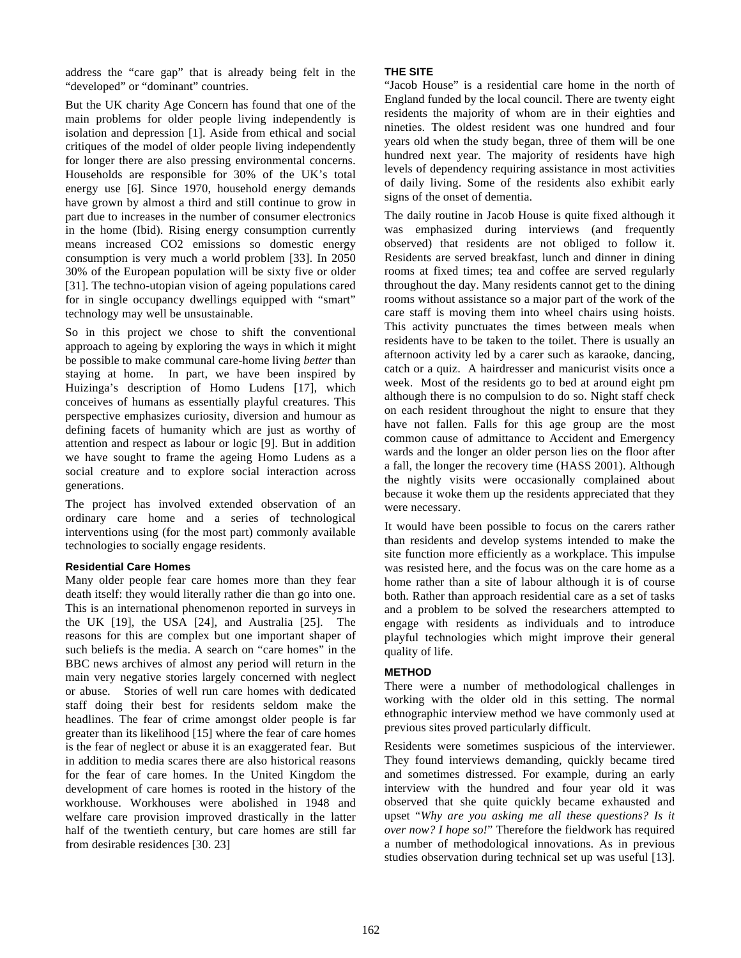address the "care gap" that is already being felt in the "developed" or "dominant" countries.

But the UK charity Age Concern has found that one of the main problems for older people living independently is isolation and depression [1]. Aside from ethical and social critiques of the model of older people living independently for longer there are also pressing environmental concerns. Households are responsible for 30% of the UK's total energy use [6]. Since 1970, household energy demands have grown by almost a third and still continue to grow in part due to increases in the number of consumer electronics in the home (Ibid). Rising energy consumption currently means increased CO2 emissions so domestic energy consumption is very much a world problem [33]. In 2050 30% of the European population will be sixty five or older [31]. The techno-utopian vision of ageing populations cared for in single occupancy dwellings equipped with "smart" technology may well be unsustainable.

So in this project we chose to shift the conventional approach to ageing by exploring the ways in which it might be possible to make communal care-home living *better* than staying at home. In part, we have been inspired by Huizinga's description of Homo Ludens [17], which conceives of humans as essentially playful creatures. This perspective emphasizes curiosity, diversion and humour as defining facets of humanity which are just as worthy of attention and respect as labour or logic [9]. But in addition we have sought to frame the ageing Homo Ludens as a social creature and to explore social interaction across generations.

The project has involved extended observation of an ordinary care home and a series of technological interventions using (for the most part) commonly available technologies to socially engage residents.

## **Residential Care Homes**

Many older people fear care homes more than they fear death itself: they would literally rather die than go into one. This is an international phenomenon reported in surveys in the UK [19], the USA [24], and Australia [25]. The reasons for this are complex but one important shaper of such beliefs is the media. A search on "care homes" in the BBC news archives of almost any period will return in the main very negative stories largely concerned with neglect or abuse. Stories of well run care homes with dedicated staff doing their best for residents seldom make the headlines. The fear of crime amongst older people is far greater than its likelihood [15] where the fear of care homes is the fear of neglect or abuse it is an exaggerated fear. But in addition to media scares there are also historical reasons for the fear of care homes. In the United Kingdom the development of care homes is rooted in the history of the workhouse. Workhouses were abolished in 1948 and welfare care provision improved drastically in the latter half of the twentieth century, but care homes are still far from desirable residences [30. 23]

## **THE SITE**

"Jacob House" is a residential care home in the north of England funded by the local council. There are twenty eight residents the majority of whom are in their eighties and nineties. The oldest resident was one hundred and four years old when the study began, three of them will be one hundred next year. The majority of residents have high levels of dependency requiring assistance in most activities of daily living. Some of the residents also exhibit early signs of the onset of dementia.

The daily routine in Jacob House is quite fixed although it was emphasized during interviews (and frequently observed) that residents are not obliged to follow it. Residents are served breakfast, lunch and dinner in dining rooms at fixed times; tea and coffee are served regularly throughout the day. Many residents cannot get to the dining rooms without assistance so a major part of the work of the care staff is moving them into wheel chairs using hoists. This activity punctuates the times between meals when residents have to be taken to the toilet. There is usually an afternoon activity led by a carer such as karaoke, dancing, catch or a quiz. A hairdresser and manicurist visits once a week. Most of the residents go to bed at around eight pm although there is no compulsion to do so. Night staff check on each resident throughout the night to ensure that they have not fallen. Falls for this age group are the most common cause of admittance to Accident and Emergency wards and the longer an older person lies on the floor after a fall, the longer the recovery time (HASS 2001). Although the nightly visits were occasionally complained about because it woke them up the residents appreciated that they were necessary.

It would have been possible to focus on the carers rather than residents and develop systems intended to make the site function more efficiently as a workplace. This impulse was resisted here, and the focus was on the care home as a home rather than a site of labour although it is of course both. Rather than approach residential care as a set of tasks and a problem to be solved the researchers attempted to engage with residents as individuals and to introduce playful technologies which might improve their general quality of life.

# **METHOD**

There were a number of methodological challenges in working with the older old in this setting. The normal ethnographic interview method we have commonly used at previous sites proved particularly difficult.

Residents were sometimes suspicious of the interviewer. They found interviews demanding, quickly became tired and sometimes distressed. For example, during an early interview with the hundred and four year old it was observed that she quite quickly became exhausted and upset "*Why are you asking me all these questions? Is it over now? I hope so!*" Therefore the fieldwork has required a number of methodological innovations. As in previous studies observation during technical set up was useful [13].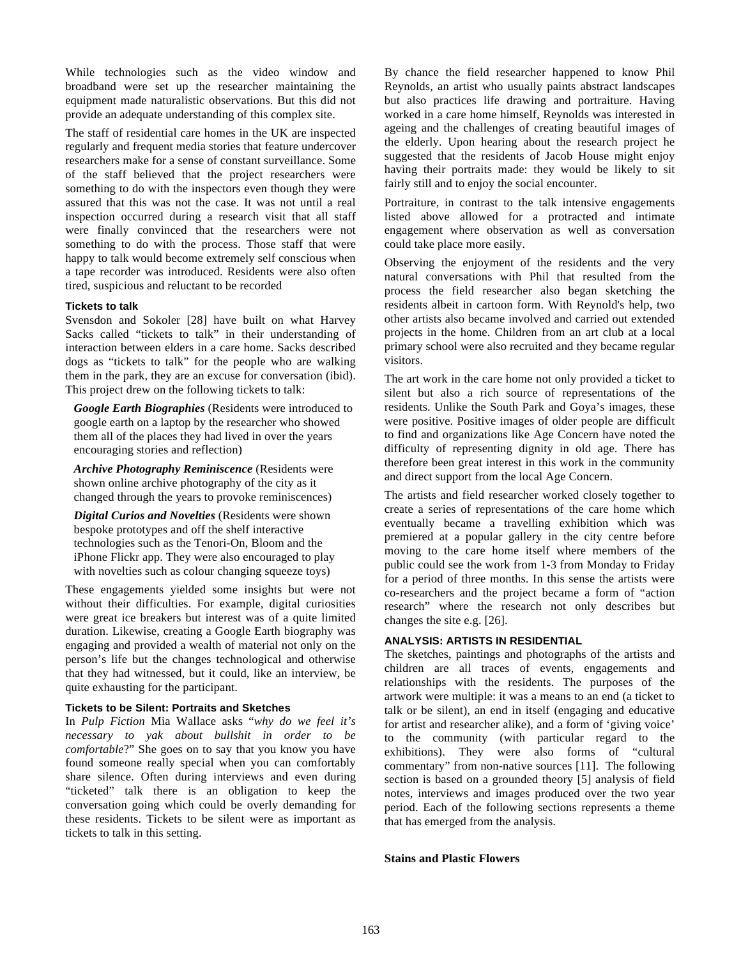While technologies such as the video window and broadband were set up the researcher maintaining the equipment made naturalistic observations. But this did not provide an adequate understanding of this complex site.

The staff of residential care homes in the UK are inspected regularly and frequent media stories that feature undercover researchers make for a sense of constant surveillance. Some of the staff believed that the project researchers were something to do with the inspectors even though they were assured that this was not the case. It was not until a real inspection occurred during a research visit that all staff were finally convinced that the researchers were not something to do with the process. Those staff that were happy to talk would become extremely self conscious when a tape recorder was introduced. Residents were also often tired, suspicious and reluctant to be recorded

#### **Tickets to talk**

Svensdon and Sokoler [28] have built on what Harvey Sacks called "tickets to talk" in their understanding of interaction between elders in a care home. Sacks described dogs as "tickets to talk" for the people who are walking them in the park, they are an excuse for conversation (ibid). This project drew on the following tickets to talk:

*Google Earth Biographies* (Residents were introduced to google earth on a laptop by the researcher who showed them all of the places they had lived in over the years encouraging stories and reflection)

*Archive Photography Reminiscence* (Residents were shown online archive photography of the city as it changed through the years to provoke reminiscences)

*Digital Curios and Novelties* (Residents were shown bespoke prototypes and off the shelf interactive technologies such as the Tenori-On, Bloom and the iPhone Flickr app. They were also encouraged to play with novelties such as colour changing squeeze toys)

These engagements yielded some insights but were not without their difficulties. For example, digital curiosities were great ice breakers but interest was of a quite limited duration. Likewise, creating a Google Earth biography was engaging and provided a wealth of material not only on the person's life but the changes technological and otherwise that they had witnessed, but it could, like an interview, be quite exhausting for the participant.

## **Tickets to be Silent: Portraits and Sketches**

In *Pulp Fiction* Mia Wallace asks "*why do we feel it's necessary to yak about bullshit in order to be comfortable*?" She goes on to say that you know you have found someone really special when you can comfortably share silence. Often during interviews and even during "ticketed" talk there is an obligation to keep the conversation going which could be overly demanding for these residents. Tickets to be silent were as important as tickets to talk in this setting.

By chance the field researcher happened to know Phil Reynolds, an artist who usually paints abstract landscapes but also practices life drawing and portraiture. Having worked in a care home himself, Reynolds was interested in ageing and the challenges of creating beautiful images of the elderly. Upon hearing about the research project he suggested that the residents of Jacob House might enjoy having their portraits made: they would be likely to sit fairly still and to enjoy the social encounter.

Portraiture, in contrast to the talk intensive engagements listed above allowed for a protracted and intimate engagement where observation as well as conversation could take place more easily.

Observing the enjoyment of the residents and the very natural conversations with Phil that resulted from the process the field researcher also began sketching the residents albeit in cartoon form. With Reynold's help, two other artists also became involved and carried out extended projects in the home. Children from an art club at a local primary school were also recruited and they became regular visitors.

The art work in the care home not only provided a ticket to silent but also a rich source of representations of the residents. Unlike the South Park and Goya's images, these were positive. Positive images of older people are difficult to find and organizations like Age Concern have noted the difficulty of representing dignity in old age. There has therefore been great interest in this work in the community and direct support from the local Age Concern.

The artists and field researcher worked closely together to create a series of representations of the care home which eventually became a travelling exhibition which was premiered at a popular gallery in the city centre before moving to the care home itself where members of the public could see the work from 1-3 from Monday to Friday for a period of three months. In this sense the artists were co-researchers and the project became a form of "action research" where the research not only describes but changes the site e.g. [26].

## **ANALYSIS: ARTISTS IN RESIDENTIAL**

The sketches, paintings and photographs of the artists and children are all traces of events, engagements and relationships with the residents. The purposes of the artwork were multiple: it was a means to an end (a ticket to talk or be silent), an end in itself (engaging and educative for artist and researcher alike), and a form of 'giving voice' to the community (with particular regard to the exhibitions). They were also forms of "cultural commentary" from non-native sources [11]. The following section is based on a grounded theory [5] analysis of field notes, interviews and images produced over the two year period. Each of the following sections represents a theme that has emerged from the analysis.

#### **Stains and Plastic Flowers**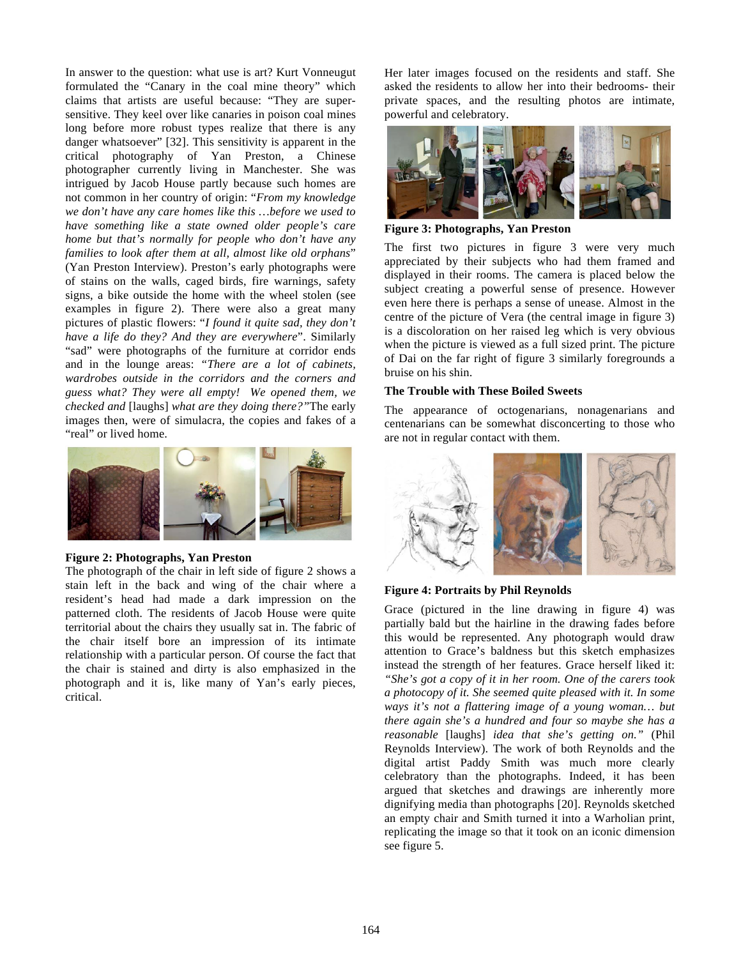In answer to the question: what use is art? Kurt Vonneugut formulated the "Canary in the coal mine theory" which claims that artists are useful because: "They are supersensitive. They keel over like canaries in poison coal mines long before more robust types realize that there is any danger whatsoever" [32]. This sensitivity is apparent in the critical photography of Yan Preston, a Chinese photographer currently living in Manchester. She was intrigued by Jacob House partly because such homes are not common in her country of origin: "*From my knowledge we don't have any care homes like this …before we used to have something like a state owned older people's care home but that's normally for people who don't have any families to look after them at all, almost like old orphans*" (Yan Preston Interview). Preston's early photographs were of stains on the walls, caged birds, fire warnings, safety signs, a bike outside the home with the wheel stolen (see examples in figure 2). There were also a great many pictures of plastic flowers: "*I found it quite sad, they don't have a life do they? And they are everywhere*". Similarly "sad" were photographs of the furniture at corridor ends and in the lounge areas: *"There are a lot of cabinets, wardrobes outside in the corridors and the corners and guess what? They were all empty! We opened them, we checked and* [laughs] *what are they doing there?"*The early images then, were of simulacra, the copies and fakes of a "real" or lived home.



# **Figure 2: Photographs, Yan Preston**

The photograph of the chair in left side of figure 2 shows a stain left in the back and wing of the chair where a resident's head had made a dark impression on the patterned cloth. The residents of Jacob House were quite territorial about the chairs they usually sat in. The fabric of the chair itself bore an impression of its intimate relationship with a particular person. Of course the fact that the chair is stained and dirty is also emphasized in the photograph and it is, like many of Yan's early pieces, critical.

Her later images focused on the residents and staff. She asked the residents to allow her into their bedrooms- their private spaces, and the resulting photos are intimate, powerful and celebratory.



**Figure 3: Photographs, Yan Preston**

The first two pictures in figure 3 were very much appreciated by their subjects who had them framed and displayed in their rooms. The camera is placed below the subject creating a powerful sense of presence. However even here there is perhaps a sense of unease. Almost in the centre of the picture of Vera (the central image in figure 3) is a discoloration on her raised leg which is very obvious when the picture is viewed as a full sized print. The picture of Dai on the far right of figure 3 similarly foregrounds a bruise on his shin.

## **The Trouble with These Boiled Sweets**

The appearance of octogenarians, nonagenarians and centenarians can be somewhat disconcerting to those who are not in regular contact with them.



#### **Figure 4: Portraits by Phil Reynolds**

Grace (pictured in the line drawing in figure 4) was partially bald but the hairline in the drawing fades before this would be represented. Any photograph would draw attention to Grace's baldness but this sketch emphasizes instead the strength of her features. Grace herself liked it: *"She's got a copy of it in her room. One of the carers took a photocopy of it. She seemed quite pleased with it. In some ways it's not a flattering image of a young woman… but there again she's a hundred and four so maybe she has a reasonable* [laughs] *idea that she's getting on."* (Phil Reynolds Interview). The work of both Reynolds and the digital artist Paddy Smith was much more clearly celebratory than the photographs. Indeed, it has been argued that sketches and drawings are inherently more dignifying media than photographs [20]. Reynolds sketched an empty chair and Smith turned it into a Warholian print, replicating the image so that it took on an iconic dimension see figure 5.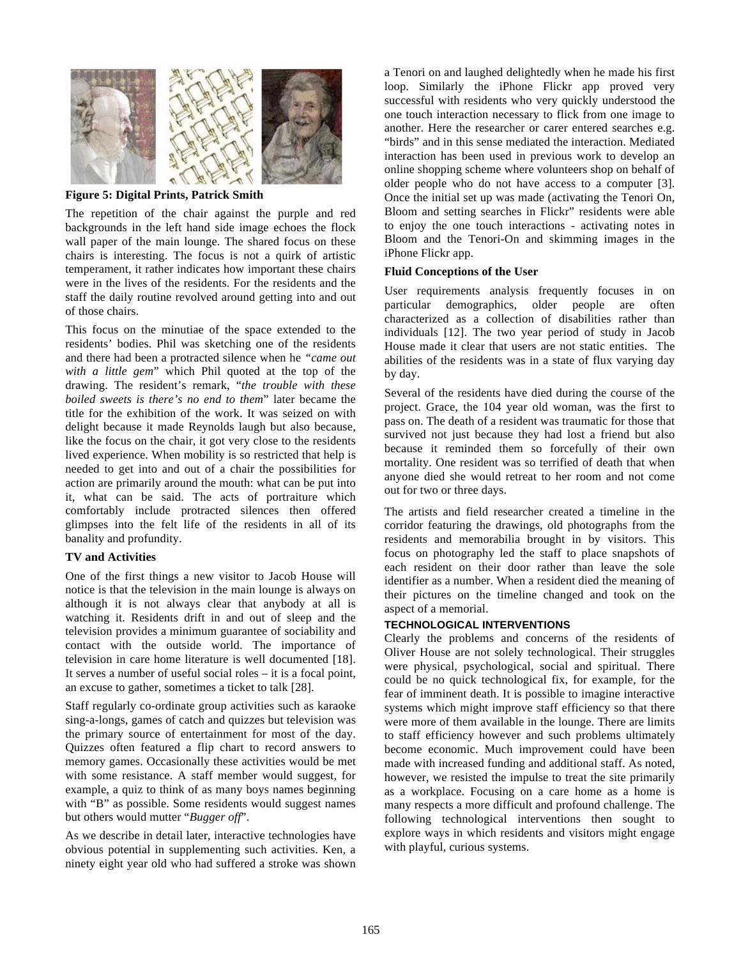

**Figure 5: Digital Prints, Patrick Smith**

The repetition of the chair against the purple and red backgrounds in the left hand side image echoes the flock wall paper of the main lounge. The shared focus on these chairs is interesting. The focus is not a quirk of artistic temperament, it rather indicates how important these chairs were in the lives of the residents. For the residents and the staff the daily routine revolved around getting into and out of those chairs.

This focus on the minutiae of the space extended to the residents' bodies. Phil was sketching one of the residents and there had been a protracted silence when he *"came out with a little gem*" which Phil quoted at the top of the drawing. The resident's remark, "*the trouble with these boiled sweets is there's no end to them*" later became the title for the exhibition of the work. It was seized on with delight because it made Reynolds laugh but also because, like the focus on the chair, it got very close to the residents lived experience. When mobility is so restricted that help is needed to get into and out of a chair the possibilities for action are primarily around the mouth: what can be put into it, what can be said. The acts of portraiture which comfortably include protracted silences then offered glimpses into the felt life of the residents in all of its banality and profundity.

## **TV and Activities**

One of the first things a new visitor to Jacob House will notice is that the television in the main lounge is always on although it is not always clear that anybody at all is watching it. Residents drift in and out of sleep and the television provides a minimum guarantee of sociability and contact with the outside world. The importance of television in care home literature is well documented [18]. It serves a number of useful social roles – it is a focal point, an excuse to gather, sometimes a ticket to talk [28].

Staff regularly co-ordinate group activities such as karaoke sing-a-longs, games of catch and quizzes but television was the primary source of entertainment for most of the day. Quizzes often featured a flip chart to record answers to memory games. Occasionally these activities would be met with some resistance. A staff member would suggest, for example, a quiz to think of as many boys names beginning with "B" as possible. Some residents would suggest names but others would mutter "*Bugger off*".

As we describe in detail later, interactive technologies have obvious potential in supplementing such activities. Ken, a ninety eight year old who had suffered a stroke was shown

a Tenori on and laughed delightedly when he made his first loop. Similarly the iPhone Flickr app proved very successful with residents who very quickly understood the one touch interaction necessary to flick from one image to another. Here the researcher or carer entered searches e.g. "birds" and in this sense mediated the interaction. Mediated interaction has been used in previous work to develop an online shopping scheme where volunteers shop on behalf of older people who do not have access to a computer [3]. Once the initial set up was made (activating the Tenori On, Bloom and setting searches in Flickr" residents were able to enjoy the one touch interactions - activating notes in Bloom and the Tenori-On and skimming images in the iPhone Flickr app.

## **Fluid Conceptions of the User**

User requirements analysis frequently focuses in on particular demographics, older people are often characterized as a collection of disabilities rather than individuals [12]. The two year period of study in Jacob House made it clear that users are not static entities. The abilities of the residents was in a state of flux varying day by day.

Several of the residents have died during the course of the project. Grace, the 104 year old woman, was the first to pass on. The death of a resident was traumatic for those that survived not just because they had lost a friend but also because it reminded them so forcefully of their own mortality. One resident was so terrified of death that when anyone died she would retreat to her room and not come out for two or three days.

The artists and field researcher created a timeline in the corridor featuring the drawings, old photographs from the residents and memorabilia brought in by visitors. This focus on photography led the staff to place snapshots of each resident on their door rather than leave the sole identifier as a number. When a resident died the meaning of their pictures on the timeline changed and took on the aspect of a memorial.

## **TECHNOLOGICAL INTERVENTIONS**

Clearly the problems and concerns of the residents of Oliver House are not solely technological. Their struggles were physical, psychological, social and spiritual. There could be no quick technological fix, for example, for the fear of imminent death. It is possible to imagine interactive systems which might improve staff efficiency so that there were more of them available in the lounge. There are limits to staff efficiency however and such problems ultimately become economic. Much improvement could have been made with increased funding and additional staff. As noted, however, we resisted the impulse to treat the site primarily as a workplace. Focusing on a care home as a home is many respects a more difficult and profound challenge. The following technological interventions then sought to explore ways in which residents and visitors might engage with playful, curious systems.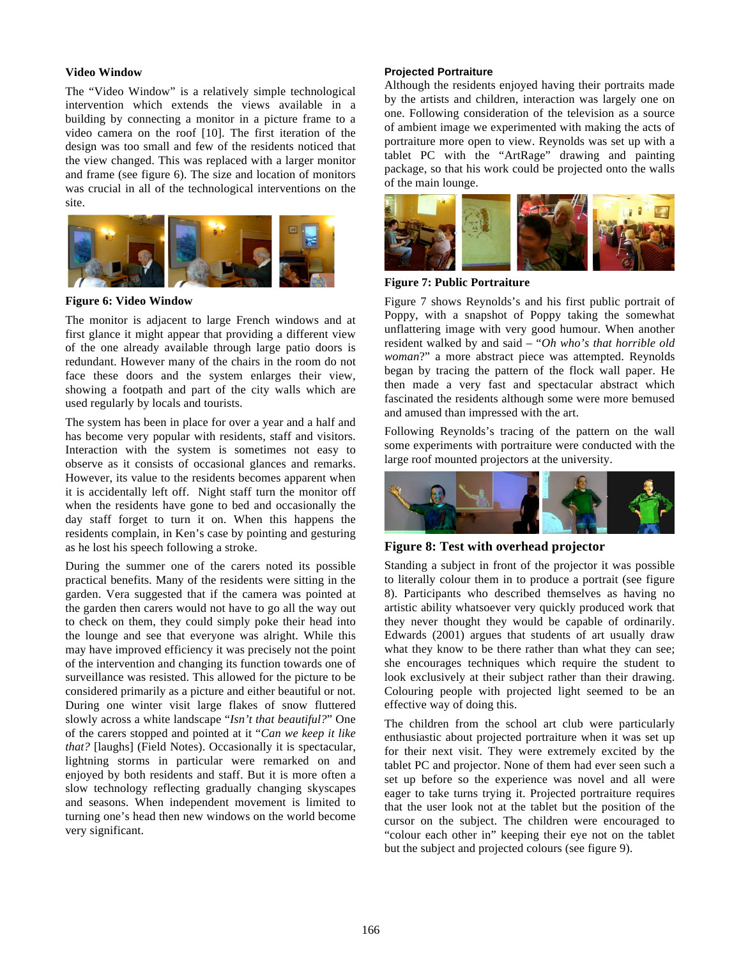## **Video Window**

The "Video Window" is a relatively simple technological intervention which extends the views available in a building by connecting a monitor in a picture frame to a video camera on the roof [10]. The first iteration of the design was too small and few of the residents noticed that the view changed. This was replaced with a larger monitor and frame (see figure 6). The size and location of monitors was crucial in all of the technological interventions on the site.



**Figure 6: Video Window**

The monitor is adjacent to large French windows and at first glance it might appear that providing a different view of the one already available through large patio doors is redundant. However many of the chairs in the room do not face these doors and the system enlarges their view, showing a footpath and part of the city walls which are used regularly by locals and tourists.

The system has been in place for over a year and a half and has become very popular with residents, staff and visitors. Interaction with the system is sometimes not easy to observe as it consists of occasional glances and remarks. However, its value to the residents becomes apparent when it is accidentally left off. Night staff turn the monitor off when the residents have gone to bed and occasionally the day staff forget to turn it on. When this happens the residents complain, in Ken's case by pointing and gesturing as he lost his speech following a stroke.

During the summer one of the carers noted its possible practical benefits. Many of the residents were sitting in the garden. Vera suggested that if the camera was pointed at the garden then carers would not have to go all the way out to check on them, they could simply poke their head into the lounge and see that everyone was alright. While this may have improved efficiency it was precisely not the point of the intervention and changing its function towards one of surveillance was resisted. This allowed for the picture to be considered primarily as a picture and either beautiful or not. During one winter visit large flakes of snow fluttered slowly across a white landscape "*Isn't that beautiful?*" One of the carers stopped and pointed at it "*Can we keep it like that?* [laughs] (Field Notes). Occasionally it is spectacular, lightning storms in particular were remarked on and enjoyed by both residents and staff. But it is more often a slow technology reflecting gradually changing skyscapes and seasons. When independent movement is limited to turning one's head then new windows on the world become very significant.

## **Projected Portraiture**

Although the residents enjoyed having their portraits made by the artists and children, interaction was largely one on one. Following consideration of the television as a source of ambient image we experimented with making the acts of portraiture more open to view. Reynolds was set up with a tablet PC with the "ArtRage" drawing and painting package, so that his work could be projected onto the walls of the main lounge.



**Figure 7: Public Portraiture**

Figure 7 shows Reynolds's and his first public portrait of Poppy, with a snapshot of Poppy taking the somewhat unflattering image with very good humour. When another resident walked by and said – "*Oh who's that horrible old woman*?" a more abstract piece was attempted. Reynolds began by tracing the pattern of the flock wall paper. He then made a very fast and spectacular abstract which fascinated the residents although some were more bemused and amused than impressed with the art.

Following Reynolds's tracing of the pattern on the wall some experiments with portraiture were conducted with the large roof mounted projectors at the university.



**Figure 8: Test with overhead projector**

Standing a subject in front of the projector it was possible to literally colour them in to produce a portrait (see figure 8). Participants who described themselves as having no artistic ability whatsoever very quickly produced work that they never thought they would be capable of ordinarily. Edwards (2001) argues that students of art usually draw what they know to be there rather than what they can see; she encourages techniques which require the student to look exclusively at their subject rather than their drawing. Colouring people with projected light seemed to be an effective way of doing this.

The children from the school art club were particularly enthusiastic about projected portraiture when it was set up for their next visit. They were extremely excited by the tablet PC and projector. None of them had ever seen such a set up before so the experience was novel and all were eager to take turns trying it. Projected portraiture requires that the user look not at the tablet but the position of the cursor on the subject. The children were encouraged to "colour each other in" keeping their eye not on the tablet but the subject and projected colours (see figure 9).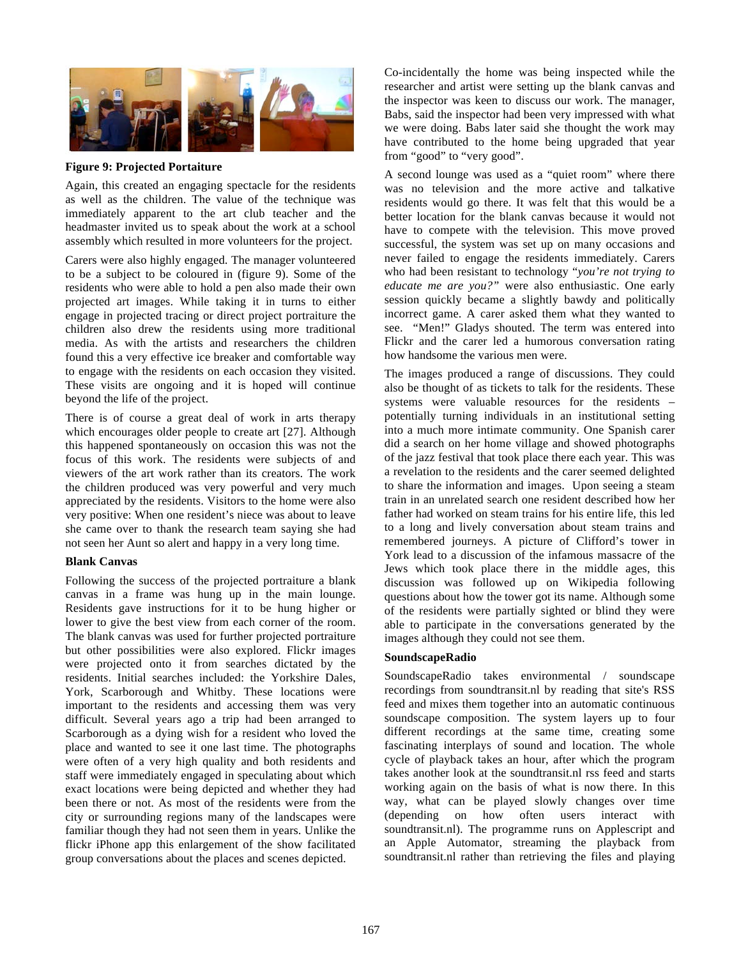

**Figure 9: Projected Portaiture**

Again, this created an engaging spectacle for the residents as well as the children. The value of the technique was immediately apparent to the art club teacher and the headmaster invited us to speak about the work at a school assembly which resulted in more volunteers for the project.

Carers were also highly engaged. The manager volunteered to be a subject to be coloured in (figure 9). Some of the residents who were able to hold a pen also made their own projected art images. While taking it in turns to either engage in projected tracing or direct project portraiture the children also drew the residents using more traditional media. As with the artists and researchers the children found this a very effective ice breaker and comfortable way to engage with the residents on each occasion they visited. These visits are ongoing and it is hoped will continue beyond the life of the project.

There is of course a great deal of work in arts therapy which encourages older people to create art [27]. Although this happened spontaneously on occasion this was not the focus of this work. The residents were subjects of and viewers of the art work rather than its creators. The work the children produced was very powerful and very much appreciated by the residents. Visitors to the home were also very positive: When one resident's niece was about to leave she came over to thank the research team saying she had not seen her Aunt so alert and happy in a very long time.

# **Blank Canvas**

Following the success of the projected portraiture a blank canvas in a frame was hung up in the main lounge. Residents gave instructions for it to be hung higher or lower to give the best view from each corner of the room. The blank canvas was used for further projected portraiture but other possibilities were also explored. Flickr images were projected onto it from searches dictated by the residents. Initial searches included: the Yorkshire Dales, York, Scarborough and Whitby. These locations were important to the residents and accessing them was very difficult. Several years ago a trip had been arranged to Scarborough as a dying wish for a resident who loved the place and wanted to see it one last time. The photographs were often of a very high quality and both residents and staff were immediately engaged in speculating about which exact locations were being depicted and whether they had been there or not. As most of the residents were from the city or surrounding regions many of the landscapes were familiar though they had not seen them in years. Unlike the flickr iPhone app this enlargement of the show facilitated group conversations about the places and scenes depicted.

Co-incidentally the home was being inspected while the researcher and artist were setting up the blank canvas and the inspector was keen to discuss our work. The manager, Babs, said the inspector had been very impressed with what we were doing. Babs later said she thought the work may have contributed to the home being upgraded that year from "good" to "very good".

A second lounge was used as a "quiet room" where there was no television and the more active and talkative residents would go there. It was felt that this would be a better location for the blank canvas because it would not have to compete with the television. This move proved successful, the system was set up on many occasions and never failed to engage the residents immediately. Carers who had been resistant to technology "*you're not trying to educate me are you?"* were also enthusiastic. One early session quickly became a slightly bawdy and politically incorrect game. A carer asked them what they wanted to see. "Men!" Gladys shouted. The term was entered into Flickr and the carer led a humorous conversation rating how handsome the various men were.

The images produced a range of discussions. They could also be thought of as tickets to talk for the residents. These systems were valuable resources for the residents – potentially turning individuals in an institutional setting into a much more intimate community. One Spanish carer did a search on her home village and showed photographs of the jazz festival that took place there each year. This was a revelation to the residents and the carer seemed delighted to share the information and images. Upon seeing a steam train in an unrelated search one resident described how her father had worked on steam trains for his entire life, this led to a long and lively conversation about steam trains and remembered journeys. A picture of Clifford's tower in York lead to a discussion of the infamous massacre of the Jews which took place there in the middle ages, this discussion was followed up on Wikipedia following questions about how the tower got its name. Although some of the residents were partially sighted or blind they were able to participate in the conversations generated by the images although they could not see them.

# **SoundscapeRadio**

SoundscapeRadio takes environmental / soundscape recordings from soundtransit.nl by reading that site's RSS feed and mixes them together into an automatic continuous soundscape composition. The system layers up to four different recordings at the same time, creating some fascinating interplays of sound and location. The whole cycle of playback takes an hour, after which the program takes another look at the soundtransit.nl rss feed and starts working again on the basis of what is now there. In this way, what can be played slowly changes over time (depending on how often users interact with soundtransit.nl). The programme runs on Applescript and an Apple Automator, streaming the playback from soundtransit.nl rather than retrieving the files and playing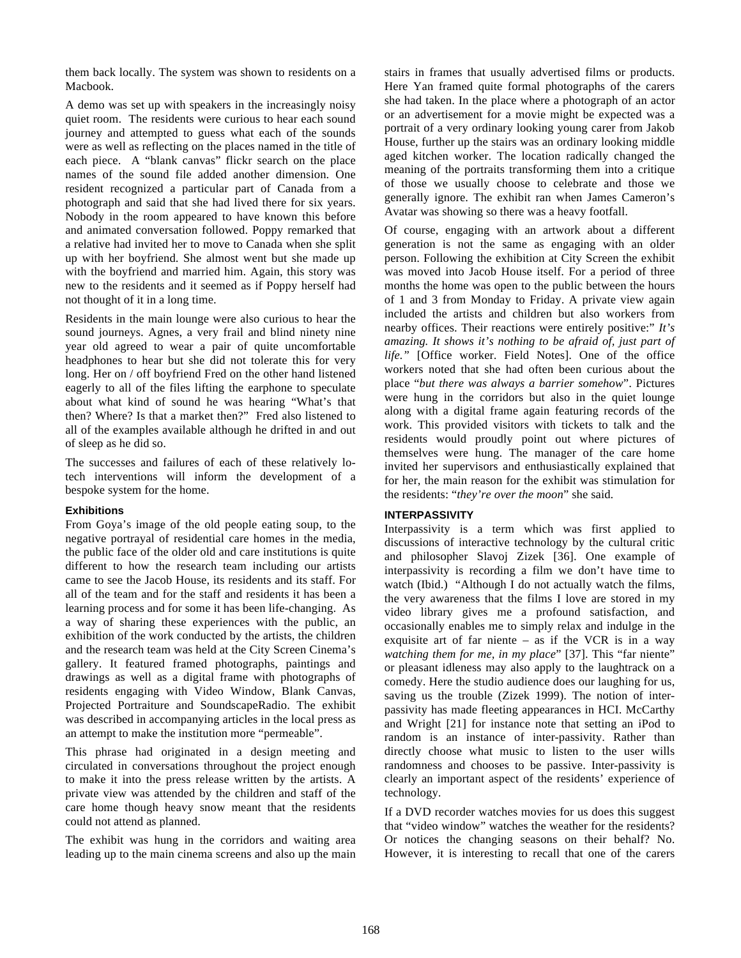them back locally. The system was shown to residents on a Macbook.

A demo was set up with speakers in the increasingly noisy quiet room. The residents were curious to hear each sound journey and attempted to guess what each of the sounds were as well as reflecting on the places named in the title of each piece. A "blank canvas" flickr search on the place names of the sound file added another dimension. One resident recognized a particular part of Canada from a photograph and said that she had lived there for six years. Nobody in the room appeared to have known this before and animated conversation followed. Poppy remarked that a relative had invited her to move to Canada when she split up with her boyfriend. She almost went but she made up with the boyfriend and married him. Again, this story was new to the residents and it seemed as if Poppy herself had not thought of it in a long time.

Residents in the main lounge were also curious to hear the sound journeys. Agnes, a very frail and blind ninety nine year old agreed to wear a pair of quite uncomfortable headphones to hear but she did not tolerate this for very long. Her on / off boyfriend Fred on the other hand listened eagerly to all of the files lifting the earphone to speculate about what kind of sound he was hearing "What's that then? Where? Is that a market then?" Fred also listened to all of the examples available although he drifted in and out of sleep as he did so.

The successes and failures of each of these relatively lotech interventions will inform the development of a bespoke system for the home.

## **Exhibitions**

From Goya's image of the old people eating soup, to the negative portrayal of residential care homes in the media, the public face of the older old and care institutions is quite different to how the research team including our artists came to see the Jacob House, its residents and its staff. For all of the team and for the staff and residents it has been a learning process and for some it has been life-changing. As a way of sharing these experiences with the public, an exhibition of the work conducted by the artists, the children and the research team was held at the City Screen Cinema's gallery. It featured framed photographs, paintings and drawings as well as a digital frame with photographs of residents engaging with Video Window, Blank Canvas, Projected Portraiture and SoundscapeRadio. The exhibit was described in accompanying articles in the local press as an attempt to make the institution more "permeable".

This phrase had originated in a design meeting and circulated in conversations throughout the project enough to make it into the press release written by the artists. A private view was attended by the children and staff of the care home though heavy snow meant that the residents could not attend as planned.

The exhibit was hung in the corridors and waiting area leading up to the main cinema screens and also up the main stairs in frames that usually advertised films or products. Here Yan framed quite formal photographs of the carers she had taken. In the place where a photograph of an actor or an advertisement for a movie might be expected was a portrait of a very ordinary looking young carer from Jakob House, further up the stairs was an ordinary looking middle aged kitchen worker. The location radically changed the meaning of the portraits transforming them into a critique of those we usually choose to celebrate and those we generally ignore. The exhibit ran when James Cameron's Avatar was showing so there was a heavy footfall.

Of course, engaging with an artwork about a different generation is not the same as engaging with an older person. Following the exhibition at City Screen the exhibit was moved into Jacob House itself. For a period of three months the home was open to the public between the hours of 1 and 3 from Monday to Friday. A private view again included the artists and children but also workers from nearby offices. Their reactions were entirely positive:" *It's amazing. It shows it's nothing to be afraid of, just part of life."* [Office worker. Field Notes]. One of the office workers noted that she had often been curious about the place "*but there was always a barrier somehow*". Pictures were hung in the corridors but also in the quiet lounge along with a digital frame again featuring records of the work. This provided visitors with tickets to talk and the residents would proudly point out where pictures of themselves were hung. The manager of the care home invited her supervisors and enthusiastically explained that for her, the main reason for the exhibit was stimulation for the residents: "*they're over the moon*" she said.

#### **INTERPASSIVITY**

Interpassivity is a term which was first applied to discussions of interactive technology by the cultural critic and philosopher Slavoj Zizek [36]. One example of interpassivity is recording a film we don't have time to watch (Ibid.) "Although I do not actually watch the films, the very awareness that the films I love are stored in my video library gives me a profound satisfaction, and occasionally enables me to simply relax and indulge in the exquisite art of far niente – as if the VCR is in a way *watching them for me, in my place*" [37]. This "far niente" or pleasant idleness may also apply to the laughtrack on a comedy. Here the studio audience does our laughing for us, saving us the trouble (Zizek 1999). The notion of interpassivity has made fleeting appearances in HCI. McCarthy and Wright [21] for instance note that setting an iPod to random is an instance of inter-passivity. Rather than directly choose what music to listen to the user wills randomness and chooses to be passive. Inter-passivity is clearly an important aspect of the residents' experience of technology.

If a DVD recorder watches movies for us does this suggest that "video window" watches the weather for the residents? Or notices the changing seasons on their behalf? No. However, it is interesting to recall that one of the carers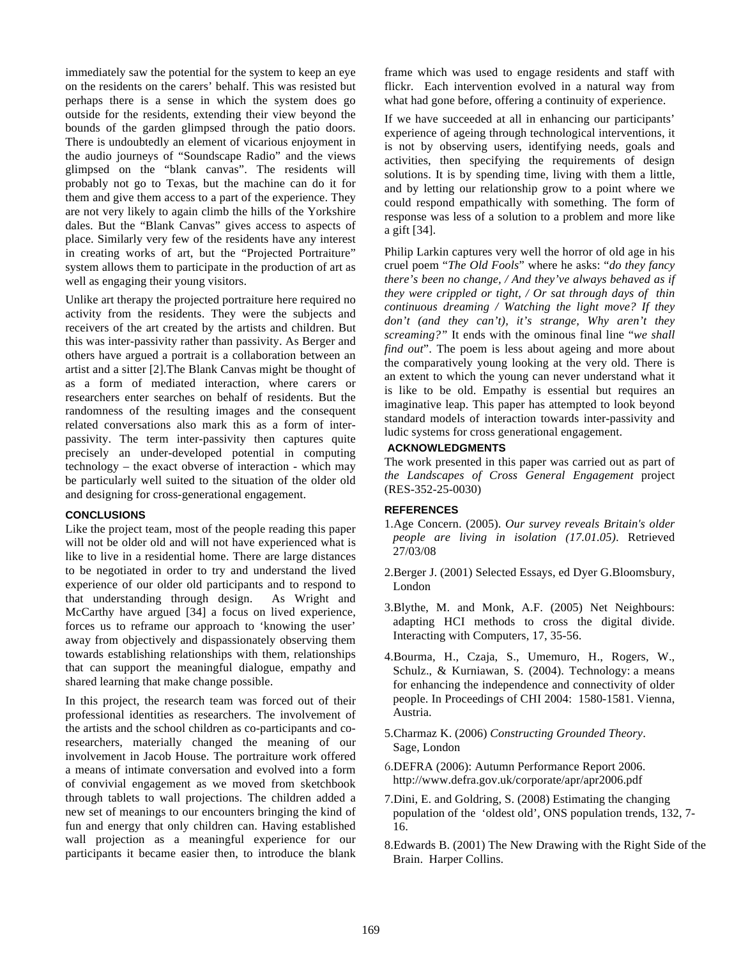immediately saw the potential for the system to keep an eye on the residents on the carers' behalf. This was resisted but perhaps there is a sense in which the system does go outside for the residents, extending their view beyond the bounds of the garden glimpsed through the patio doors. There is undoubtedly an element of vicarious enjoyment in the audio journeys of "Soundscape Radio" and the views glimpsed on the "blank canvas". The residents will probably not go to Texas, but the machine can do it for them and give them access to a part of the experience. They are not very likely to again climb the hills of the Yorkshire dales. But the "Blank Canvas" gives access to aspects of place. Similarly very few of the residents have any interest in creating works of art, but the "Projected Portraiture" system allows them to participate in the production of art as well as engaging their young visitors.

Unlike art therapy the projected portraiture here required no activity from the residents. They were the subjects and receivers of the art created by the artists and children. But this was inter-passivity rather than passivity. As Berger and others have argued a portrait is a collaboration between an artist and a sitter [2].The Blank Canvas might be thought of as a form of mediated interaction, where carers or researchers enter searches on behalf of residents. But the randomness of the resulting images and the consequent related conversations also mark this as a form of interpassivity. The term inter-passivity then captures quite precisely an under-developed potential in computing technology – the exact obverse of interaction - which may be particularly well suited to the situation of the older old and designing for cross-generational engagement.

## **CONCLUSIONS**

Like the project team, most of the people reading this paper will not be older old and will not have experienced what is like to live in a residential home. There are large distances to be negotiated in order to try and understand the lived experience of our older old participants and to respond to that understanding through design. As Wright and McCarthy have argued [34] a focus on lived experience, forces us to reframe our approach to 'knowing the user' away from objectively and dispassionately observing them towards establishing relationships with them, relationships that can support the meaningful dialogue, empathy and shared learning that make change possible.

In this project, the research team was forced out of their professional identities as researchers. The involvement of the artists and the school children as co-participants and coresearchers, materially changed the meaning of our involvement in Jacob House. The portraiture work offered a means of intimate conversation and evolved into a form of convivial engagement as we moved from sketchbook through tablets to wall projections. The children added a new set of meanings to our encounters bringing the kind of fun and energy that only children can. Having established wall projection as a meaningful experience for our participants it became easier then, to introduce the blank frame which was used to engage residents and staff with flickr. Each intervention evolved in a natural way from what had gone before, offering a continuity of experience.

If we have succeeded at all in enhancing our participants' experience of ageing through technological interventions, it is not by observing users, identifying needs, goals and activities, then specifying the requirements of design solutions. It is by spending time, living with them a little, and by letting our relationship grow to a point where we could respond empathically with something. The form of response was less of a solution to a problem and more like a gift [34].

Philip Larkin captures very well the horror of old age in his cruel poem "*The Old Fools*" where he asks: "*do they fancy there's been no change, / And they've always behaved as if they were crippled or tight, / Or sat through days of thin continuous dreaming / Watching the light move? If they don't (and they can't), it's strange, Why aren't they screaming?"* It ends with the ominous final line "*we shall find out*". The poem is less about ageing and more about the comparatively young looking at the very old. There is an extent to which the young can never understand what it is like to be old. Empathy is essential but requires an imaginative leap. This paper has attempted to look beyond standard models of interaction towards inter-passivity and ludic systems for cross generational engagement.

#### **ACKNOWLEDGMENTS**

The work presented in this paper was carried out as part of *the Landscapes of Cross General Engagement* project (RES-352-25-0030)

#### **REFERENCES**

- 1.Age Concern. (2005). *Our survey reveals Britain's older people are living in isolation (17.01.05)*. Retrieved 27/03/08
- 2.Berger J. (2001) Selected Essays, ed Dyer G.Bloomsbury, London
- 3.Blythe, M. and Monk, A.F. (2005) Net Neighbours: adapting HCI methods to cross the digital divide. Interacting with Computers, 17, 35-56.
- 4.Bourma, H., Czaja, S., Umemuro, H., Rogers, W., Schulz., & Kurniawan, S. (2004). Technology: a means for enhancing the independence and connectivity of older people. In Proceedings of CHI 2004: 1580-1581. Vienna, Austria.
- 5.Charmaz K. (2006) *Constructing Grounded Theory*. Sage, London
- 6.DEFRA (2006): Autumn Performance Report 2006. http://www.defra.gov.uk/corporate/apr/apr2006.pdf
- 7.Dini, E. and Goldring, S. (2008) Estimating the changing population of the 'oldest old', ONS population trends, 132, 7- 16.
- 8.Edwards B. (2001) The New Drawing with the Right Side of the Brain. Harper Collins.